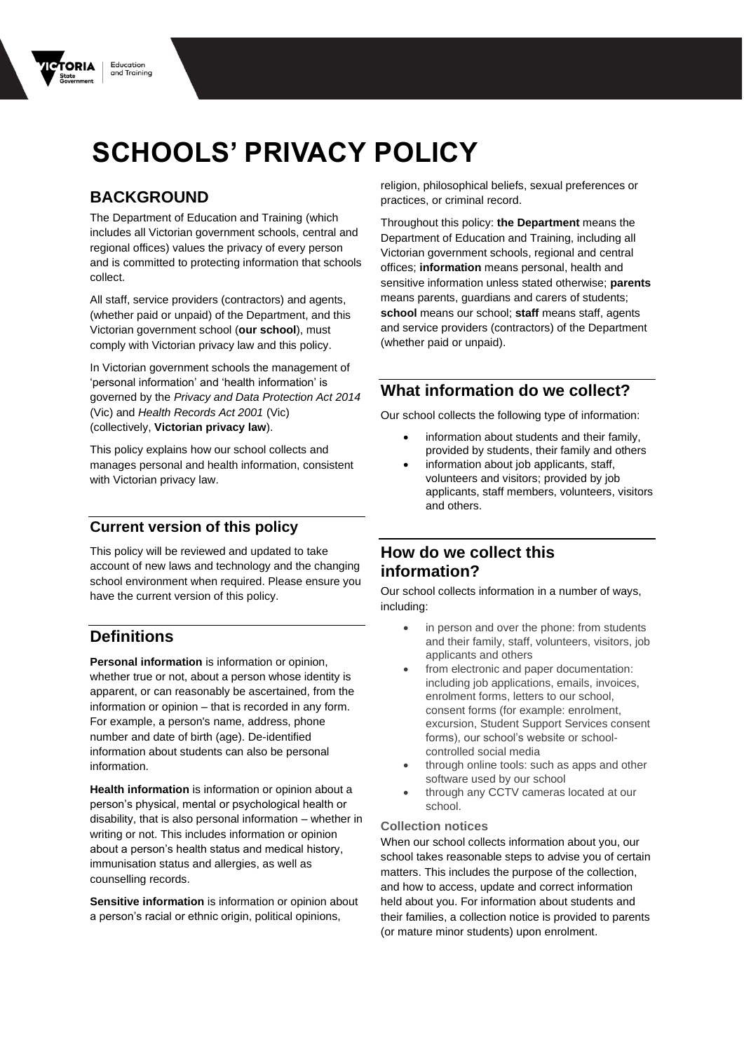

# **BACKGROUND**

The Department of Education and Training (which includes all Victorian government schools, central and regional offices) values the privacy of every person and is committed to protecting information that schools collect.

All staff, service providers (contractors) and agents, (whether paid or unpaid) of the Department, and this Victorian government school (**our school**), must comply with Victorian privacy law and this policy.

In Victorian government schools the management of 'personal information' and 'health information' is governed by the *Privacy and Data Protection Act 2014*  (Vic) and *Health Records Act 2001* (Vic) (collectively, **Victorian privacy law**).

This policy explains how our school collects and manages personal and health information, consistent with Victorian privacy law.

#### **Current version of this policy**

This policy will be reviewed and updated to take account of new laws and technology and the changing school environment when required. Please ensure you have the current version of this policy.

### **Definitions**

**Personal information** is information or opinion, whether true or not, about a person whose identity is apparent, or can reasonably be ascertained, from the information or opinion – that is recorded in any form. For example, a person's name, address, phone number and date of birth (age). De-identified information about students can also be personal information.

**Health information** is information or opinion about a person's physical, mental or psychological health or disability, that is also personal information – whether in writing or not. This includes information or opinion about a person's health status and medical history, immunisation status and allergies, as well as counselling records.

**Sensitive information** is information or opinion about a person's racial or ethnic origin, political opinions,

religion, philosophical beliefs, sexual preferences or practices, or criminal record.

Throughout this policy: **the Department** means the Department of Education and Training, including all Victorian government schools, regional and central offices; **information** means personal, health and sensitive information unless stated otherwise; **parents**  means parents, guardians and carers of students; **school** means our school; **staff** means staff, agents and service providers (contractors) of the Department (whether paid or unpaid).

### **What information do we collect?**

Our school collects the following type of information:

- information about students and their family, provided by students, their family and others
- information about job applicants, staff, volunteers and visitors; provided by job applicants, staff members, volunteers, visitors and others.

## **How do we collect this information?**

Our school collects information in a number of ways, including:

- in person and over the phone: from students and their family, staff, volunteers, visitors, job applicants and others
- from electronic and paper documentation: including job applications, emails, invoices, enrolment forms, letters to our school, consent forms (for example: enrolment, excursion, Student Support Services consent forms), our school's website or schoolcontrolled social media
- through online tools: such as apps and other software used by our school
- through any CCTV cameras located at our school.

#### **Collection notices**

When our school collects information about you, our school takes reasonable steps to advise you of certain matters. This includes the purpose of the collection, and how to access, update and correct information held about you. For information about students and their families, a collection notice is provided to parents (or mature minor students) upon enrolment.

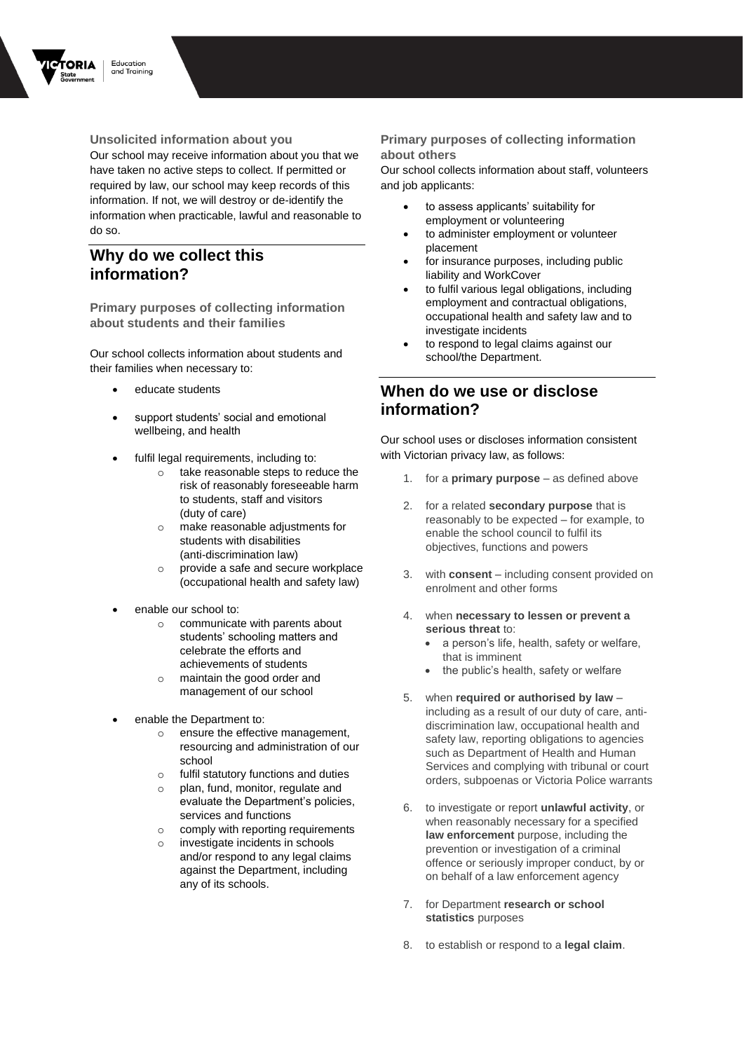

Education and Training

**Unsolicited information about you** Our school may receive information about you that we have taken no active steps to collect. If permitted or required by law, our school may keep records of this information. If not, we will destroy or de-identify the information when practicable, lawful and reasonable to do so.

## **Why do we collect this information?**

**Primary purposes of collecting information about students and their families**

Our school collects information about students and their families when necessary to:

- educate students
- support students' social and emotional wellbeing, and health
- fulfil legal requirements, including to:
	- o take reasonable steps to reduce the risk of reasonably foreseeable harm to students, staff and visitors (duty of care)
	- o make reasonable adjustments for students with disabilities (anti-discrimination law)
	- o provide a safe and secure workplace (occupational health and safety law)
- enable our school to:
	- communicate with parents about students' schooling matters and celebrate the efforts and achievements of students
	- maintain the good order and management of our school
- enable the Department to:
	- o ensure the effective management, resourcing and administration of our school
	- o fulfil statutory functions and duties
	- o plan, fund, monitor, regulate and evaluate the Department's policies, services and functions
	- o comply with reporting requirements
	- investigate incidents in schools and/or respond to any legal claims against the Department, including any of its schools.

#### **Primary purposes of collecting information about others**

Our school collects information about staff, volunteers and job applicants:

- to assess applicants' suitability for employment or volunteering
- to administer employment or volunteer placement
- for insurance purposes, including public liability and WorkCover
- to fulfil various legal obligations, including employment and contractual obligations, occupational health and safety law and to investigate incidents
- to respond to legal claims against our school/the Department.

## **When do we use or disclose information?**

Our school uses or discloses information consistent with Victorian privacy law, as follows:

- 1. for a **primary purpose** as defined above
- 2. for a related **secondary purpose** that is reasonably to be expected – for example, to enable the school council to fulfil its objectives, functions and powers
- 3. with **consent** including consent provided on enrolment and other forms
- 4. when **necessary to lessen or prevent a serious threat** to:
	- a person's life, health, safety or welfare, that is imminent
	- the public's health, safety or welfare
- 5. when **required or authorised by law** including as a result of our duty of care, antidiscrimination law, occupational health and safety law, reporting obligations to agencies such as Department of Health and Human Services and complying with tribunal or court orders, subpoenas or Victoria Police warrants
- 6. to investigate or report **unlawful activity**, or when reasonably necessary for a specified **law enforcement** purpose, including the prevention or investigation of a criminal offence or seriously improper conduct, by or on behalf of a law enforcement agency
- 7. for Department **research or school statistics** purposes
- 8. to establish or respond to a **legal claim**.